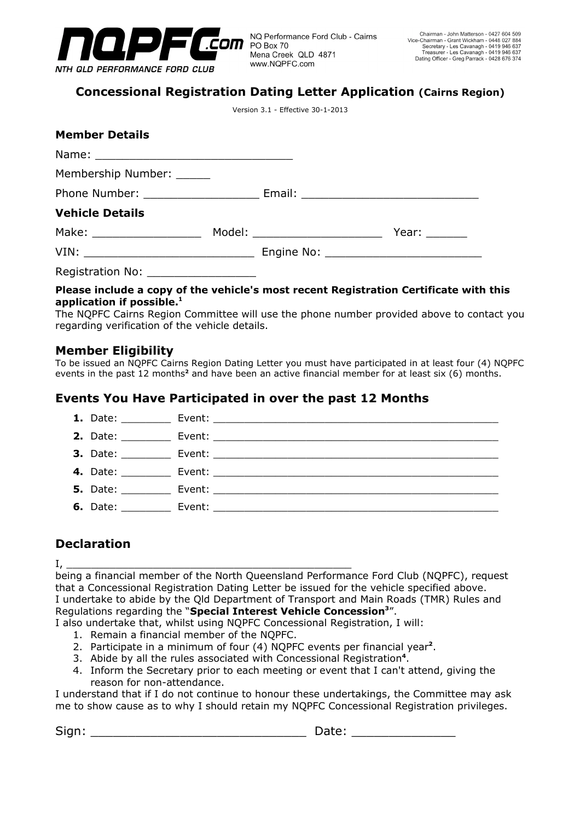

# **Concessional Registration Dating Letter Application (Cairns Region)**

Version 3.1 - Effective 30-1-2013

| <b>Member Details</b>       |                                                                                                                       |                                  |                                                                                                                |
|-----------------------------|-----------------------------------------------------------------------------------------------------------------------|----------------------------------|----------------------------------------------------------------------------------------------------------------|
|                             |                                                                                                                       |                                  |                                                                                                                |
| Membership Number: ______   |                                                                                                                       |                                  |                                                                                                                |
|                             |                                                                                                                       |                                  |                                                                                                                |
| <b>Vehicle Details</b>      |                                                                                                                       |                                  |                                                                                                                |
| Make: _____________________ |                                                                                                                       | Model: _________________________ | Year: The Management of the Management of the Society of the Society of the Society of the Management of the S |
|                             |                                                                                                                       |                                  |                                                                                                                |
| Registration No:            | <u> 1989 - Johann Barbara, martin amerikan basal dan berasal dalam basal dalam basal dalam basal dalam basal dala</u> |                                  |                                                                                                                |

#### **Please include a copy of the vehicle's most recent Registration Certificate with this application if possible.1**

The NQPFC Cairns Region Committee will use the phone number provided above to contact you regarding verification of the vehicle details.

## **Member Eligibility**

To be issued an NQPFC Cairns Region Dating Letter you must have participated in at least four (4) NQPFC events in the past 12 months<sup>2</sup> and have been an active financial member for at least six (6) months.

## **Events You Have Participated in over the past 12 Months**

| 1. Date: $\_\_$            |  |
|----------------------------|--|
| <b>2.</b> Date:            |  |
|                            |  |
|                            |  |
| <b>5.</b> Date: __________ |  |
| <b>6.</b> Date:            |  |

# **Declaration**

I, \_\_\_\_\_\_\_\_\_\_\_\_\_\_\_\_\_\_\_\_\_\_\_\_\_\_\_\_\_\_\_\_\_\_\_\_\_\_\_\_\_\_\_\_\_\_

being a financial member of the North Queensland Performance Ford Club (NQPFC), request that a Concessional Registration Dating Letter be issued for the vehicle specified above. I undertake to abide by the Qld Department of Transport and Main Roads (TMR) Rules and Regulations regarding the "**Special Interest Vehicle Concession**<sup>3</sup>".

I also undertake that, whilst using NQPFC Concessional Registration, I will:

- 1. Remain a financial member of the NQPFC.
- 2. Participate in a minimum of four (4) NQPFC events per financial year**<sup>2</sup>** .
- 3. Abide by all the rules associated with Concessional Registration**<sup>4</sup>** .
- 4. Inform the Secretary prior to each meeting or event that I can't attend, giving the reason for non-attendance.

I understand that if I do not continue to honour these undertakings, the Committee may ask me to show cause as to why I should retain my NQPFC Concessional Registration privileges.

Sign: \_\_\_\_\_\_\_\_\_\_\_\_\_\_\_\_\_\_\_\_\_\_\_\_\_\_\_\_\_ Date: \_\_\_\_\_\_\_\_\_\_\_\_\_\_